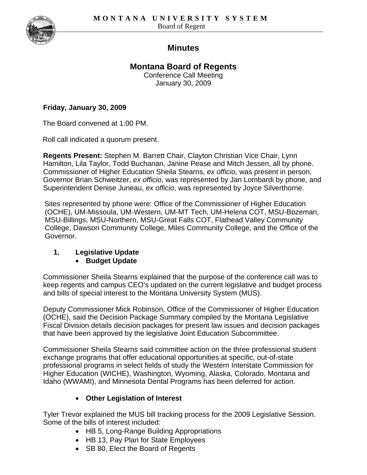

## **Minutes**

# **Montana Board of Regents**

Conference Call Meeting January 30, 2009

#### **Friday, January 30, 2009**

The Board convened at 1:00 PM.

Roll call indicated a quorum present.

**Regents Present:** Stephen M. Barrett Chair, Clayton Christian Vice Chair, Lynn Hamilton, Lila Taylor, Todd Buchanan, Janine Pease and Mitch Jessen, all by phone. Commissioner of Higher Education Sheila Stearns, *ex officio,* was present in person, Governor Brian Schweitzer, *ex officio*, was represented by Jan Lombardi by phone, and Superintendent Denise Juneau, *ex officio*, was represented by Joyce Silverthorne.

Sites represented by phone were: Office of the Commissioner of Higher Education (OCHE), UM-Missoula, UM-Western, UM-MT Tech, UM-Helena COT, MSU-Bozeman, MSU-Billings, MSU-Northern, MSU-Great Falls COT, Flathead Valley Community College, Dawson Community College, Miles Community College, and the Office of the Governor.

### **1. Legislative Update**

### • **Budget Update**

Commissioner Sheila Stearns explained that the purpose of the conference call was to keep regents and campus CEO's updated on the current legislative and budget process and bills of special interest to the Montana University System (MUS).

Deputy Commissioner Mick Robinson, Office of the Commissioner of Higher Education (OCHE), said the Decision Package Summary compiled by the Montana Legislative Fiscal Division details decision packages for present law issues and decision packages that have been approved by the legislative Joint Education Subcommittee.

Commissioner Sheila Stearns said committee action on the three professional student exchange programs that offer educational opportunities at specific, out-of-state professional programs in select fields of study the Western Interstate Commission for Higher Education (WICHE), Washington, Wyoming, Alaska, Colorado, Montana and Idaho (WWAMI), and Minnesota Dental Programs has been deferred for action.

### • **Other Legislation of Interest**

Tyler Trevor explained the MUS bill tracking process for the 2009 Legislative Session. Some of the bills of interest included:

- HB 5, Long-Range Building Appropriations
- HB 13, Pay Plan for State Employees
- SB 80, Elect the Board of Regents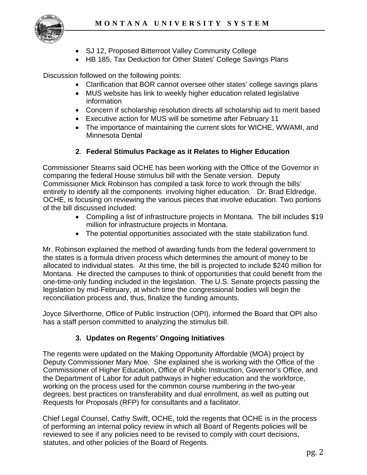

- SJ 12, Proposed Bitterroot Valley Community College
- HB 185, Tax Deduction for Other States' College Savings Plans

Discussion followed on the following points:

- Clarification that BOR cannot oversee other states' college savings plans
- MUS website has link to weekly higher education related legislative information
- Concern if scholarship resolution directs all scholarship aid to merit based
- Executive action for MUS will be sometime after February 11
- The importance of maintaining the current slots for WICHE, WWAMI, and Minnesota Dental

#### **2**. **Federal Stimulus Package as it Relates to Higher Education**

Commissioner Stearns said OCHE has been working with the Office of the Governor in comparing the federal House stimulus bill with the Senate version. Deputy Commissioner Mick Robinson has compiled a task force to work through the bills' entirety to identify all the components involving higher education. Dr. Brad Eldredge, OCHE, is focusing on reviewing the various pieces that involve education. Two portions of the bill discussed included:

- Compiling a list of infrastructure projects in Montana. The bill includes \$19 million for infrastructure projects in Montana.
- The potential opportunities associated with the state stabilization fund.

Mr. Robinson explained the method of awarding funds from the federal government to the states is a formula driven process which determines the amount of money to be allocated to individual states. At this time, the bill is projected to include \$240 million for Montana. He directed the campuses to think of opportunities that could benefit from the one-time-only funding included in the legislation. The U.S. Senate projects passing the legislation by mid-February, at which time the congressional bodies will begin the reconciliation process and, thus, finalize the funding amounts.

Joyce Silverthorne, Office of Public Instruction (OPI), informed the Board that OPI also has a staff person committed to analyzing the stimulus bill.

#### **3. Updates on Regents' Ongoing Initiatives**

The regents were updated on the Making Opportunity Affordable (MOA) project by Deputy Commissioner Mary Moe. She explained she is working with the Office of the Commissioner of Higher Education, Office of Public Instruction, Governor's Office, and the Department of Labor for adult pathways in higher education and the workforce, working on the process used for the common course numbering in the two-year degrees, best practices on transferability and dual enrollment, as well as putting out Requests for Proposals (RFP) for consultants and a facilitator.

Chief Legal Counsel, Cathy Swift, OCHE, told the regents that OCHE is in the process of performing an internal policy review in which all Board of Regents policies will be reviewed to see if any policies need to be revised to comply with court decisions, statutes, and other policies of the Board of Regents.